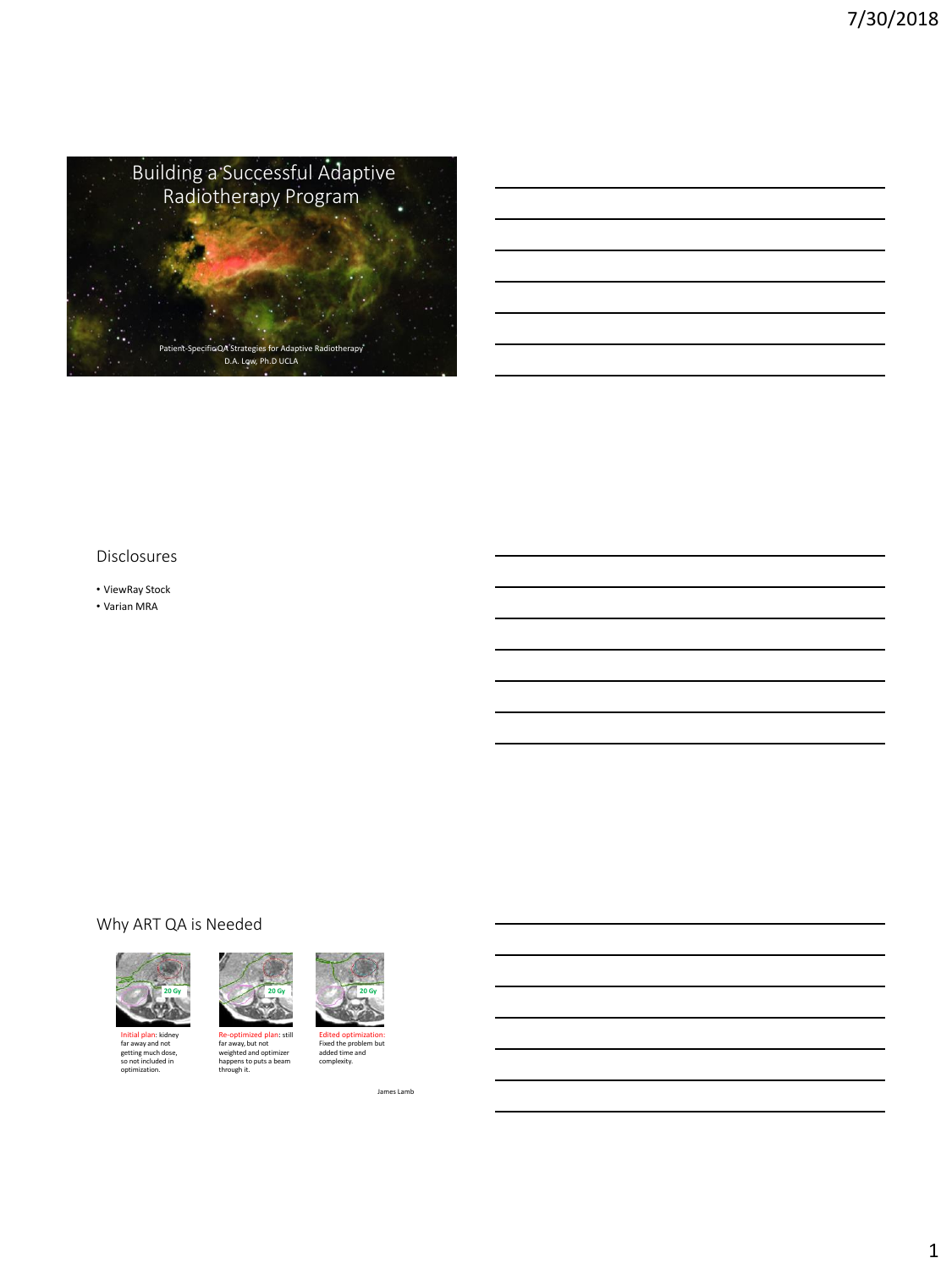

#### Disclosures

• ViewRay Stock

• Varian MRA

## Why ART QA is Needed



Initial plan: kidney far away and not getting much dose, so not included in optimization.



Re-optimized plan: still<br>far away, but not<br>weighted and optimizer<br>happens to puts a beam<br>through it.



Edited optimization: Fixed the problem but added time and complexity.

James Lamb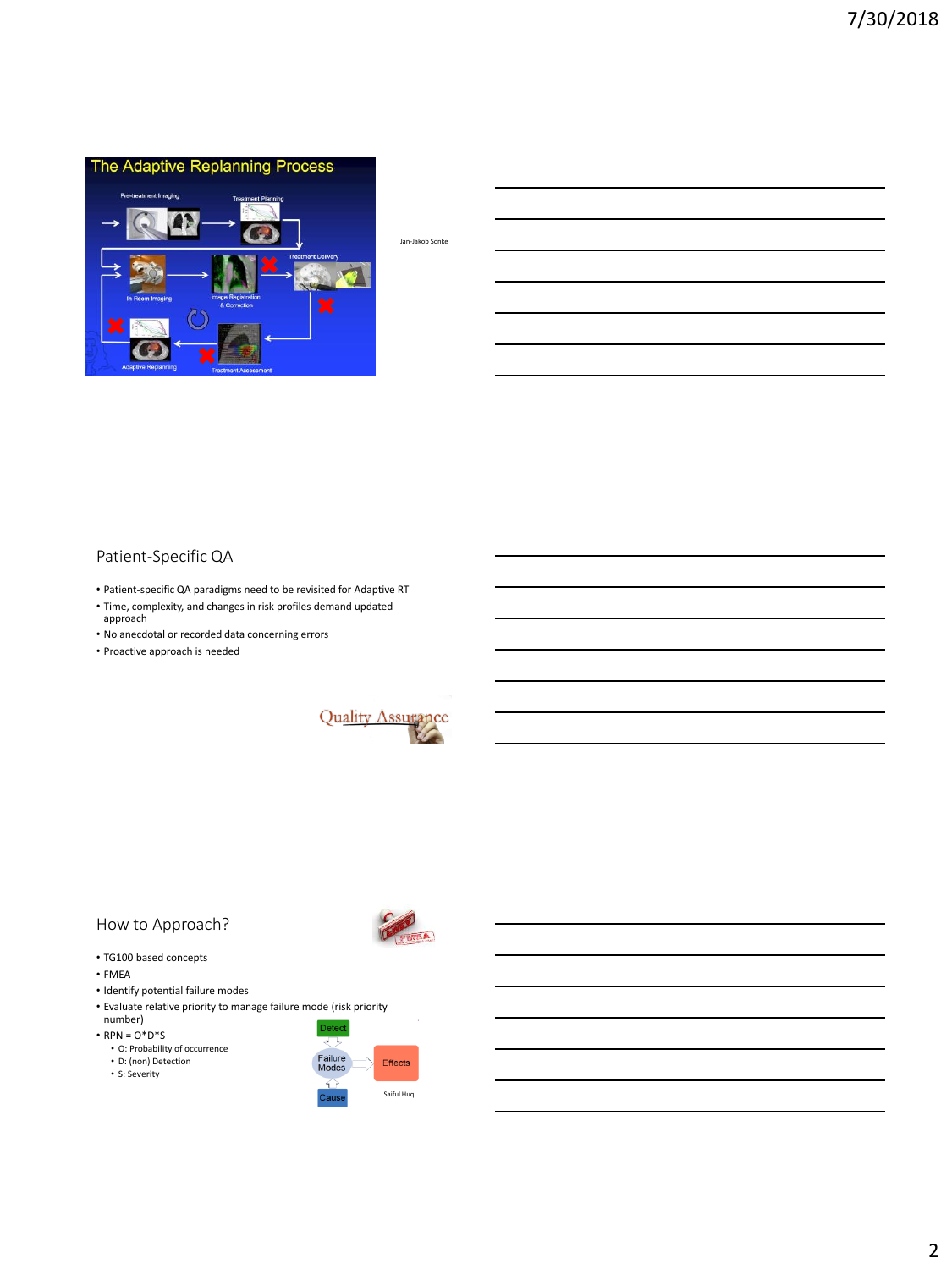

Jan-Jakob Sonke

## Patient-Specific QA

- Patient-specific QA paradigms need to be revisited for Adaptive RT
- Time, complexity, and changes in risk profiles demand updated approach
- No anecdotal or recorded data concerning errors
- Proactive approach is needed



CENTRAL

## How to Approach?

- TG100 based concepts
- FMEA
- Identify potential failure modes
- Evaluate relative priority to manage failure mode (risk priority number) Deteo

 $\cdot$  RPN =  $O^*D^*S$ 

- O: Probability of occurrence
- D: (non) Detection
- S: Severity

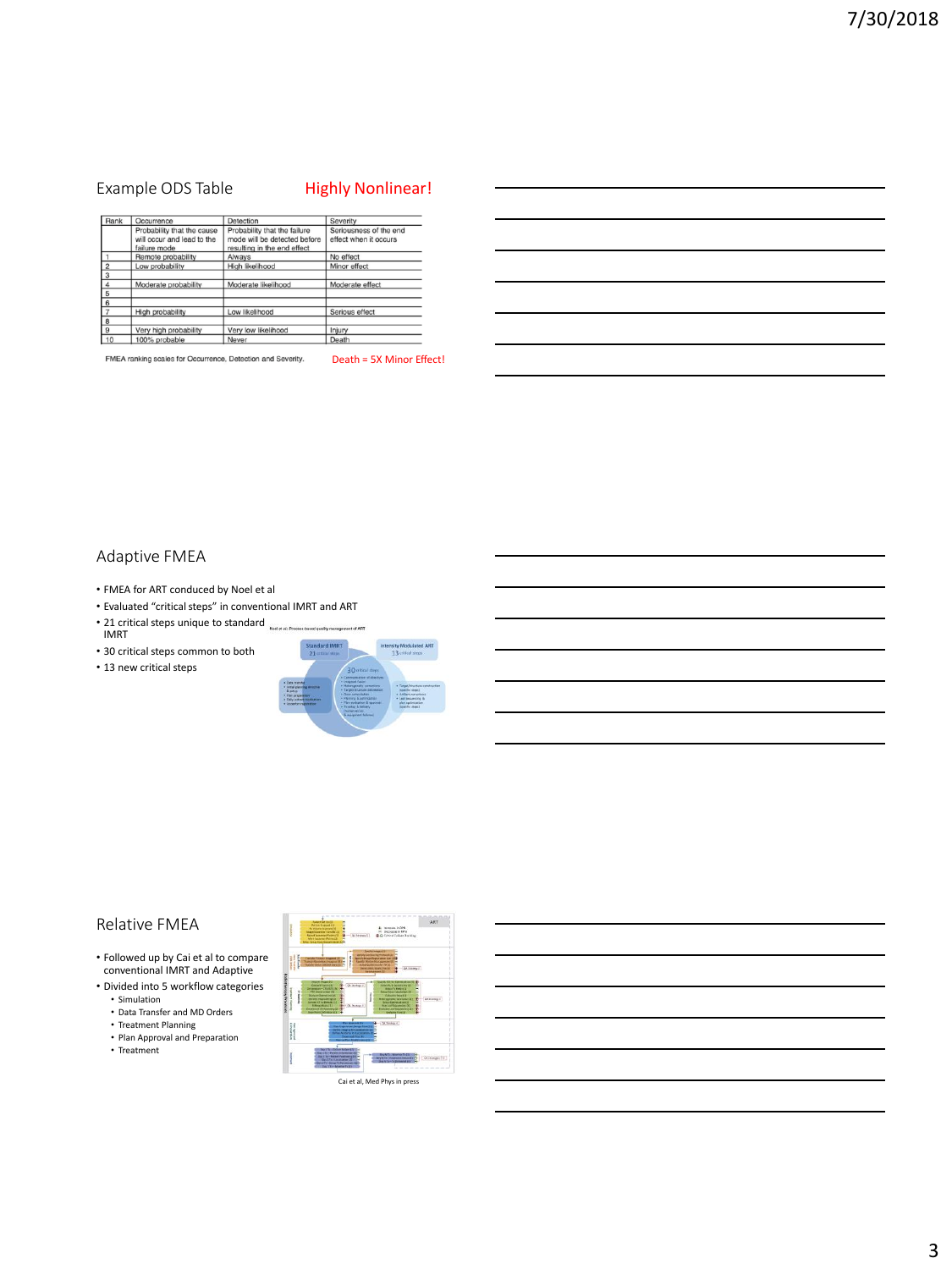## Example ODS Table Highly Nonlinear!

| Rank           | Occurrence                                                               | Detection                                                                                   | Severity                                        |
|----------------|--------------------------------------------------------------------------|---------------------------------------------------------------------------------------------|-------------------------------------------------|
|                | Probability that the cause<br>will occur and lead to the<br>failure mode | Probability that the failure<br>mode will be detected before<br>resulting in the end effect | Seriousness of the end<br>effect when it occurs |
|                | Remote probability                                                       | Always                                                                                      | No effect                                       |
| $\overline{2}$ | Low probability                                                          | High likelihood                                                                             | Minor effect                                    |
| 3              |                                                                          |                                                                                             |                                                 |
|                | Moderate probability                                                     | Moderate likelihood                                                                         | Moderate effect                                 |
| 5              |                                                                          |                                                                                             |                                                 |
| 6              |                                                                          |                                                                                             |                                                 |
|                | High probability                                                         | Low likelihood                                                                              | Serious effect                                  |
| 8              |                                                                          |                                                                                             |                                                 |
| $\mathbf{Q}$   | Very high probability                                                    | Very low likelihood                                                                         | Injury                                          |
| 10             | 100% probable                                                            | Never                                                                                       | Death                                           |

FMEA ranking scales for Occurrence, Detection and Severity.

Death = 5X Minor Effect!

#### Adaptive FMEA

- FMEA for ART conduced by Noel et al
- Evaluated "critical steps" in conventional IMRT and ART
- 21 critical steps unique to standard  $\frac{1}{\text{Nucleon (2)}}$ IMRT
- 30 critical steps common to both
- 13 new critical steps



### Relative FMEA

- Followed up by Cai et al to compare conventional IMRT and Adaptive
- Divided into 5 workflow categories • Simulation
	- Data Transfer and MD Orders
	- Treatment Planning Plan Approval and Preparation
	-
	- Treatment

| <b>Pumps furt to</b><br><b>Ration Proposality</b><br>moresce in RFN<br>Ful biological futborough N<br>Demography 18792<br>pelliperrier Sprate 20<br><b>Alle Critician Exchang Bachinet</b><br>med rippeantes/Politics (S.)<br><b>Modern L</b><br><b>Mark Savarner/Rome (2)</b><br><b>Silver Fisher Montgomment &amp; LAXA</b>                                                                                                                                                                                                                                                                                                       | ART                                          |
|-------------------------------------------------------------------------------------------------------------------------------------------------------------------------------------------------------------------------------------------------------------------------------------------------------------------------------------------------------------------------------------------------------------------------------------------------------------------------------------------------------------------------------------------------------------------------------------------------------------------------------------|----------------------------------------------|
| V March 11<br><b>Victorial or the Winds</b><br>bret its brough Kingh A widow due (1994)<br><b>Change Insured In</b><br>Funder Sociological Eliza<br>graphy Moden Muringament<br><b>Stated Quadrelling for TV 10</b><br><b>ATEN CARDS</b><br>or creers which the be-<br><b>Cal Insteady 2</b>                                                                                                                                                                                                                                                                                                                                        |                                              |
| <b>CAVID-TO-TO-TYP/MESOSHI</b><br>GA Strategic AG<br><b>Colored Funder (22)</b><br><b>STRAITS &amp; COVERNS</b><br>Airi - CTIVETTIN<br><b>Robert's Finish (1)</b><br>functor threat Calledonian Off<br>FTO CONVANITION CO.<br>Colourury Crow List<br><b>North Corporation (M)</b><br>ī<br><b>Rétéraporte Le Victor</b><br><b>PATRICK TRUCKER HELD</b><br><b><i><u>Smu Delimination CT</u></i></b><br>un't CT ha Bomidy (S)<br><b>Rithbuy, Maak</b><br><b><i>Aux Leaf Seleumbry 20</i></b><br><b>Drivery A</b><br><b>Exploration Caref Kink Jackson of</b><br>contract of the assessment of<br><b>Museum</b><br><b>Endura Has UP</b> | <b>DOMINIO</b><br>œ<br>m                     |
| On Ninningy 6<br>um.<br><b>PETROLICATION</b><br><b>A MIRSING MITAGE</b><br><b>ATATA</b>                                                                                                                                                                                                                                                                                                                                                                                                                                                                                                                                             |                                              |
| Day 1 To - Calculated and March 4<br><b>Stay's Sc - Autubs achievements</b><br><b>Das 4 St - Ralant Paulineerg (K)</b><br><b>TWO TV - BRANCHA COUNTRY -</b><br><b>Day City: Livia Letter Inc. 20</b><br><b>SALE NO. NORTH</b><br>three if they have to the unusual<br><b>Flood Ford Minister To</b>                                                                                                                                                                                                                                                                                                                                 | The foremanas O.C.<br>and will not the paint |
| Cai et al, Med Phys in press                                                                                                                                                                                                                                                                                                                                                                                                                                                                                                                                                                                                        |                                              |

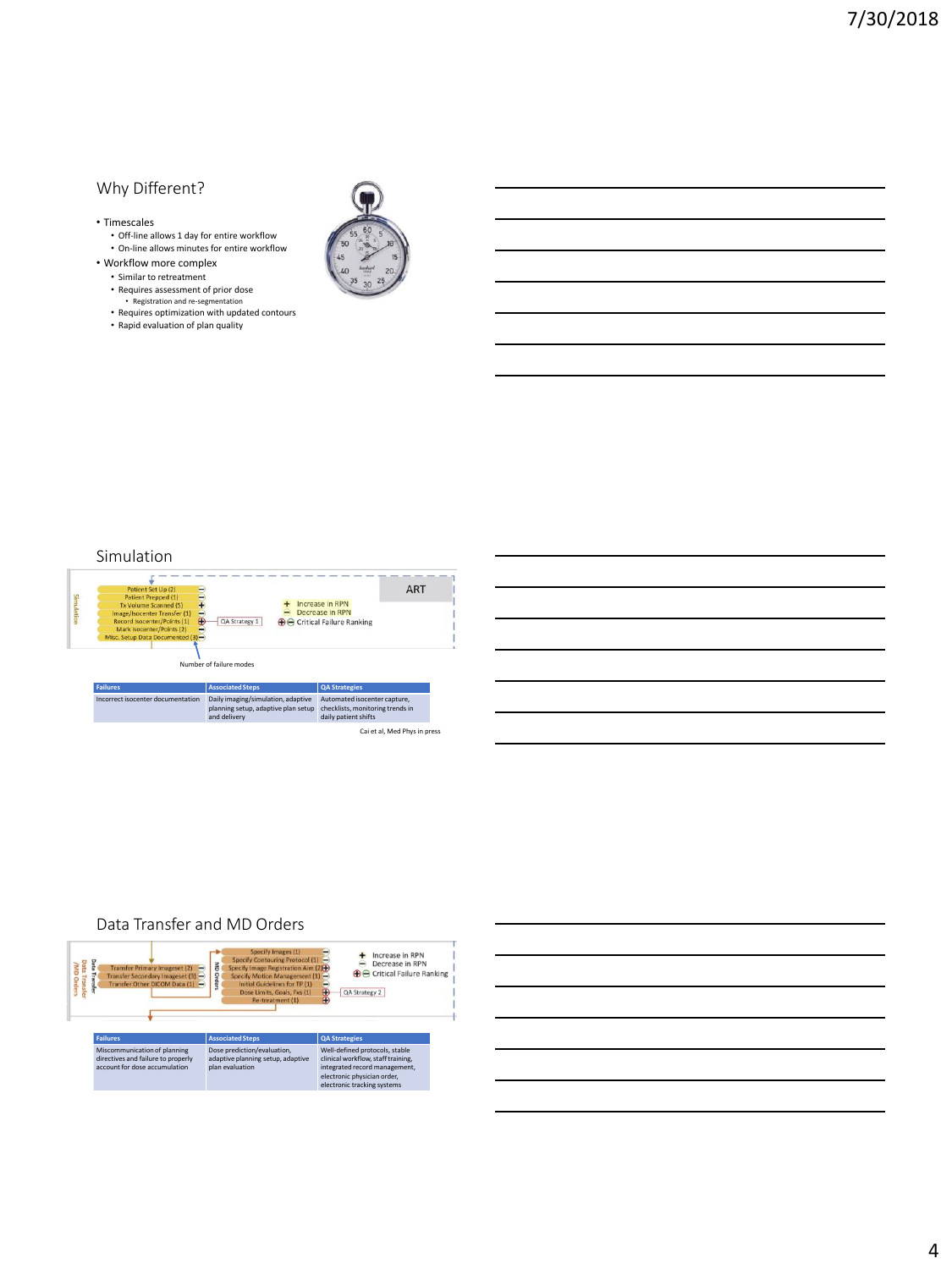## Why Different?

- Timescales
	- Off-line allows 1 day for entire workflow • On-line allows minutes for entire workflow
- Workflow more complex
	- Similar to retreatment • Requires assessment of prior dose
	-
	- Registration and re-segmentation Requires optimization with updated contours
	- Rapid evaluation of plan quality



#### Simulation

| Patient Set Up (2)<br>Simulation<br>Patient Prepped (1)<br>Tx Volume Scanned (5)<br>Image/Isocenter Transfer (1)<br>Record Isocenter/Points (1)<br>Œ<br>Mark Isocenter/Points (2)<br>Misc. Setup Data Documented (3)- |                                   | <b>ART</b><br>Increase in RPN<br>Decrease in RPN<br>QA Strategy 1<br><b>B</b> O Critical Failure Ranking<br>Number of failure modes |                                                                                          |  |
|-----------------------------------------------------------------------------------------------------------------------------------------------------------------------------------------------------------------------|-----------------------------------|-------------------------------------------------------------------------------------------------------------------------------------|------------------------------------------------------------------------------------------|--|
|                                                                                                                                                                                                                       |                                   |                                                                                                                                     |                                                                                          |  |
|                                                                                                                                                                                                                       | <b>Failures</b>                   | <b>Associated Steps</b>                                                                                                             | <b>QA Strategies</b>                                                                     |  |
|                                                                                                                                                                                                                       | Incorrect isocenter documentation | Daily imaging/simulation, adaptive<br>planning setup, adaptive plan setup<br>and delivery                                           | Automated isocenter capture,<br>checklists, monitoring trends in<br>daily patient shifts |  |

### Data Transfer and MD Orders



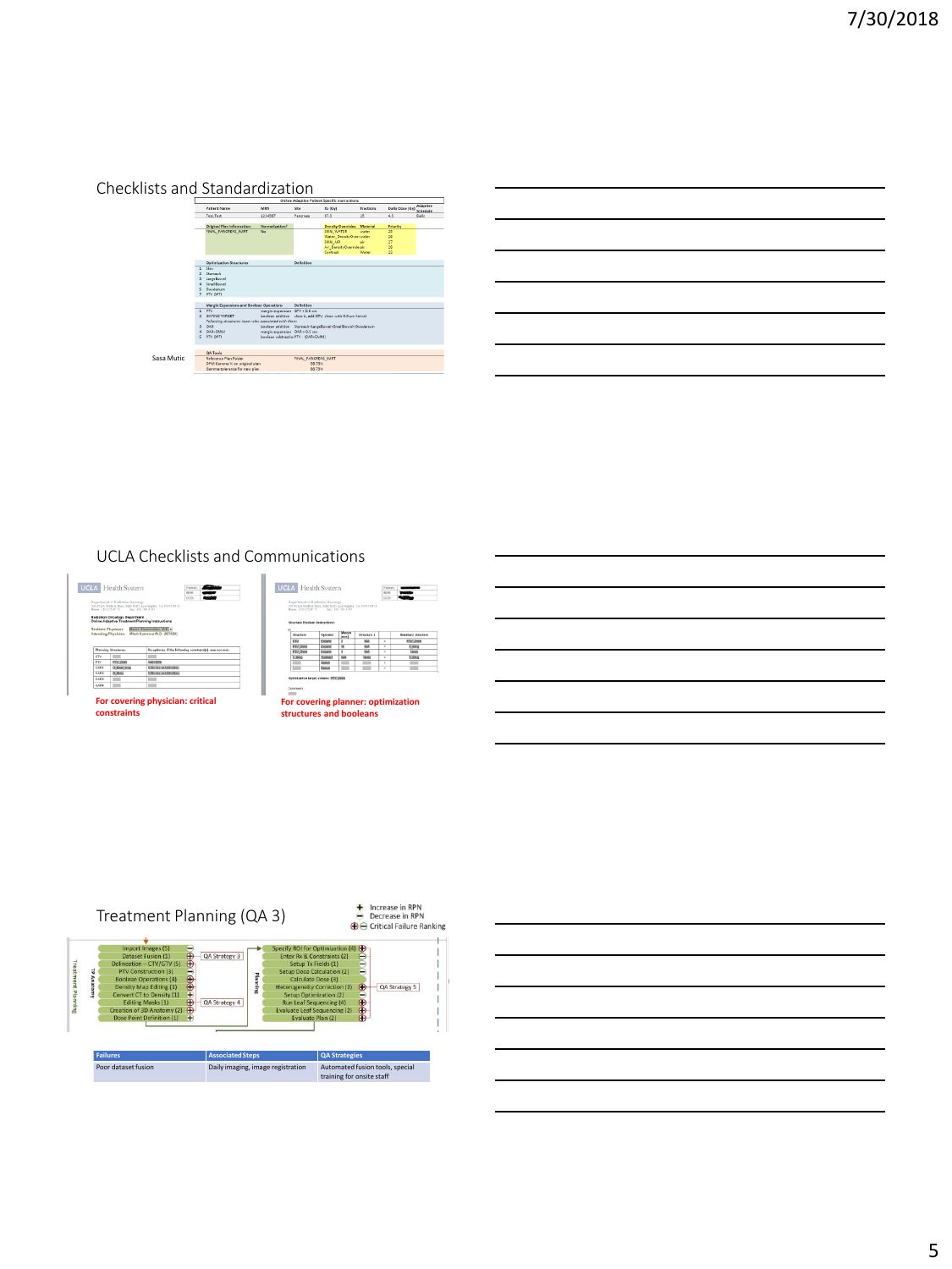

## UCLA Checklists and Communications





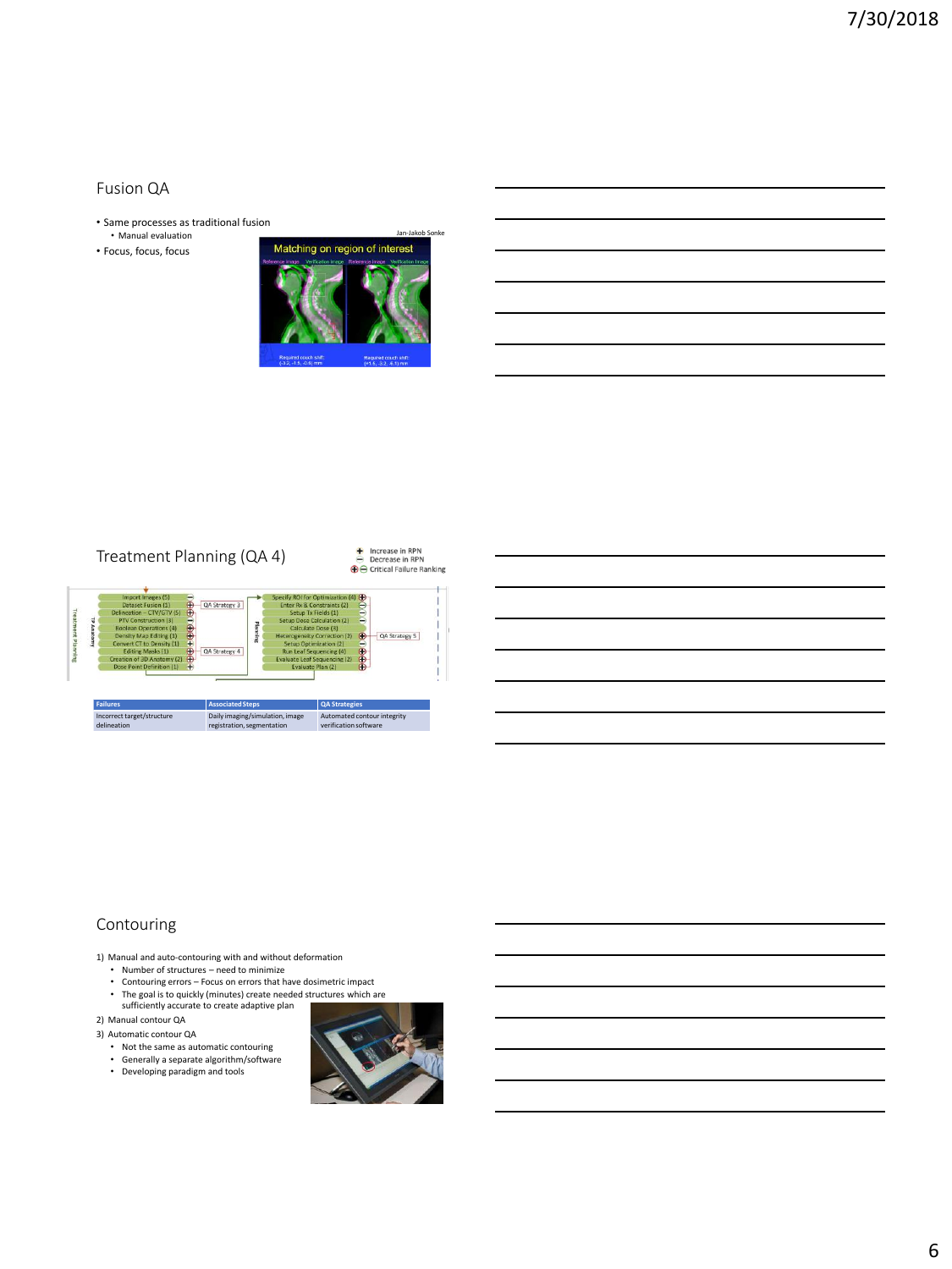#### Fusion QA

- Same processes as traditional fusion
- Manual evaluation
- Focus, focus, focus



# Treatment Planning (QA 4)



## Contouring

- 1) Manual and auto-contouring with and without deformation Number of structures need to minimize
- 
- Contouring errors Focus on errors that have dosimetric impact
- The goal is to quickly (minutes) create needed structures which are sufficiently accurate to create adaptive plan

2) Manual contour QA

3) Automatic contour QA

- Not the same as automatic contouring
- 
- Generally a separate algorithm/software Developing paradigm and tools

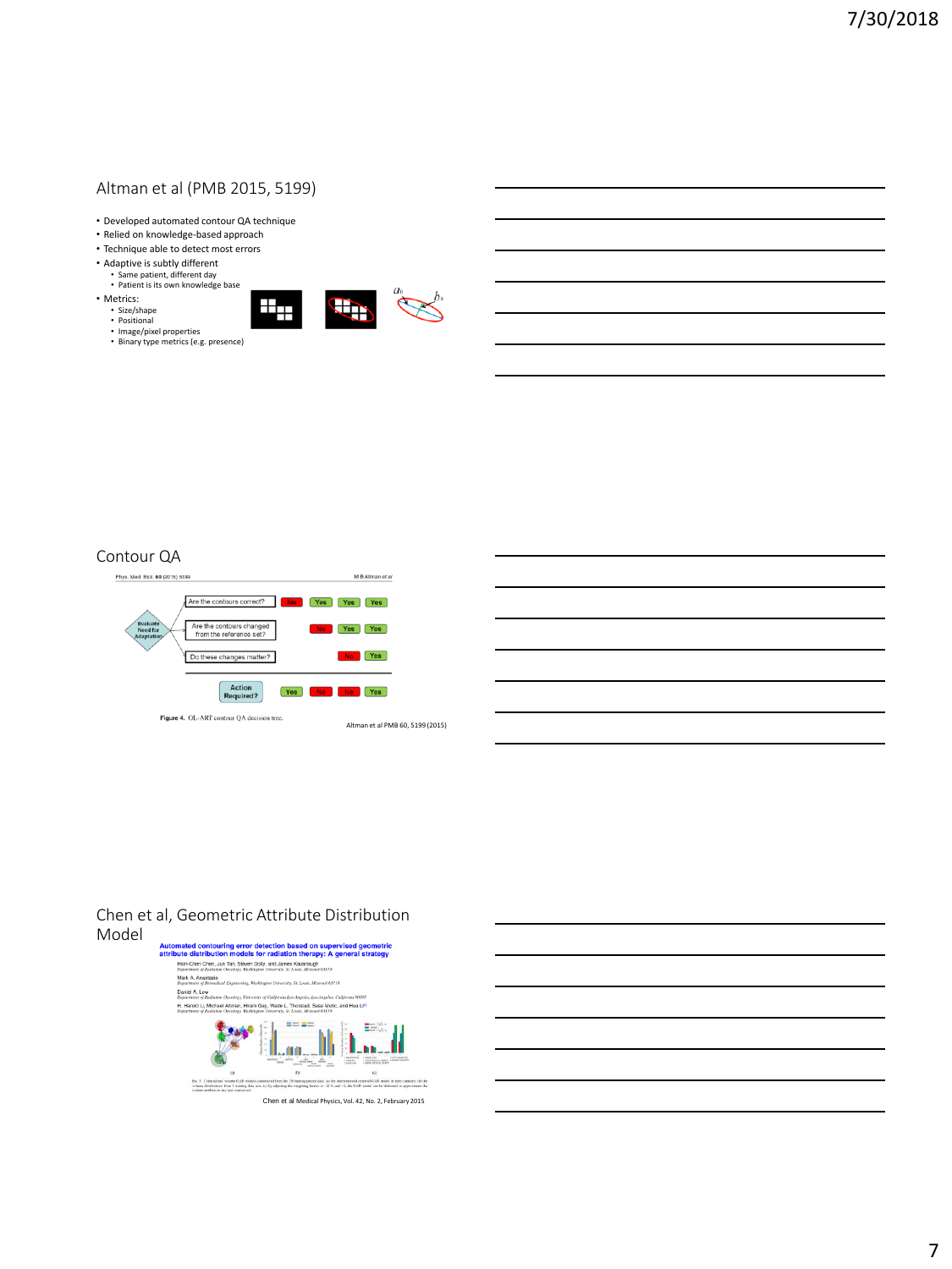## Altman et al (PMB 2015, 5199)

- Developed automated contour QA technique
- Relied on knowledge-based approach
- Technique able to detect most errors
- Adaptive is subtly different
	- Same patient, different day Patient is its own knowledge base
- Metrics: • Size/shape • Positional
- $\pm$
- Image/pixel properties Binary type metrics (e.g. presence)





## Contour QA



#### Chen et al, Geometric Attribute Distribution Model

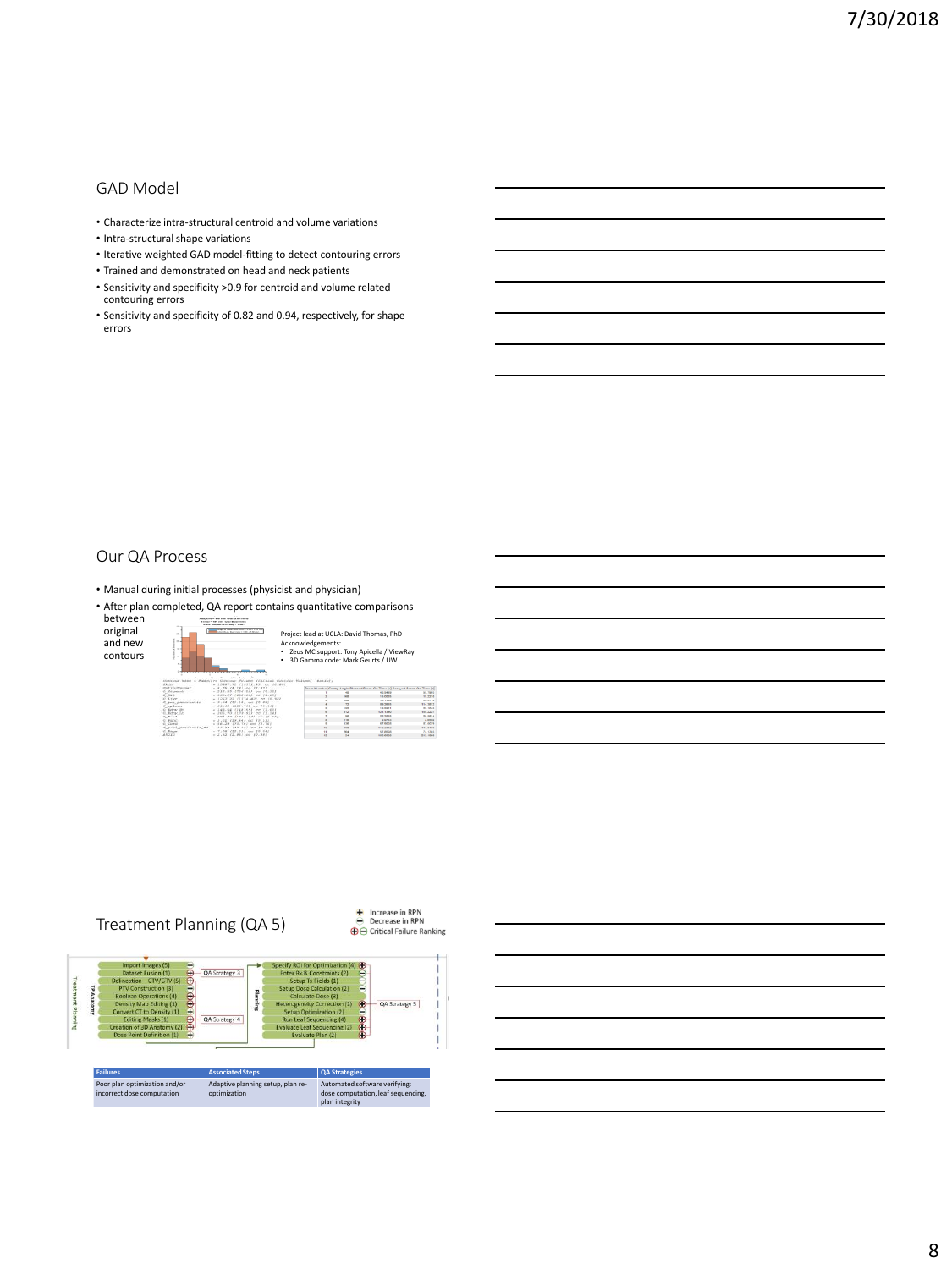## GAD Model

- Characterize intra-structural centroid and volume variations
- Intra-structural shape variations
- Iterative weighted GAD model-fitting to detect contouring errors
- Trained and demonstrated on head and neck patients
- Sensitivity and specificity >0.9 for centroid and volume related contouring errors
- Sensitivity and specificity of 0.82 and 0.94, respectively, for shape errors

## Our QA Process

• Manual during initial processes (physicist and physician)

• After plan completed, QA report contains quantitative comparisons between Maptive = 958 min.ratel (Keel mine)<br>Testal = 190 min.tatel Blast mine<br>Thele (Adjustme britis) = 6.007







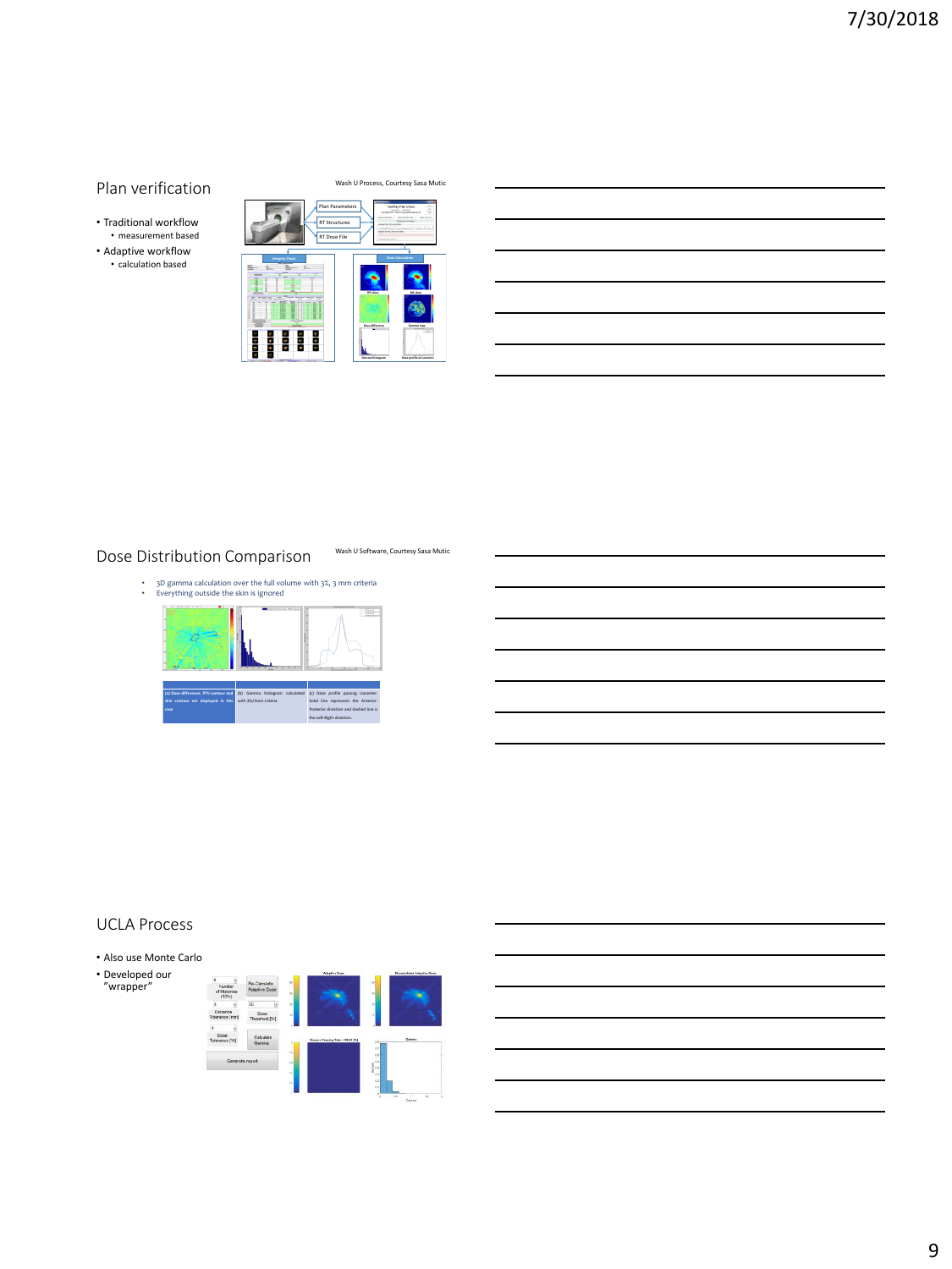## Plan verification

• Traditional workflow • measurement based • Adaptive workflow • calculation based

Wash U Process, Courtesy Sasa Mutic

Wash U Software, Courtesy Sasa Mutic



## Dose Distribution Comparison

• 3D gamma calculation over the full volume with 3%, 3 mm criteria • Everything outside the skin is ignored



### UCLA Process

- Also use Monte Carlo
- Developed our "wrapper"

|                                       |                               |                        | Adaptive Dese                  |                                  | Recidentated Adaptive Dear                       |
|---------------------------------------|-------------------------------|------------------------|--------------------------------|----------------------------------|--------------------------------------------------|
| Number<br>of Histories<br>$(10^{4}x)$ | Re-Calculate<br>Adaptive Dose | $\mathbf{e}$<br>$\sim$ |                                | $\overline{a}$<br>$\overline{a}$ | ۰                                                |
|                                       | $30 -$                        | ä                      |                                | s.                               |                                                  |
| Distance<br>Tolerance [mm]            | Dose<br>Threshold [%]         | 5Ĵ                     |                                | w                                |                                                  |
| b                                     |                               |                        |                                |                                  |                                                  |
| Dose<br>Tolerance (%)                 | Calculate<br>Gamma            | ٠                      | Gomma Passing Rate + 69.89 (%) | $\overline{a}$<br>ä              | Genra                                            |
| Generate report                       |                               | $\frac{1}{2}$<br>i.    |                                | 0.6                              |                                                  |
|                                       |                               | s<br>$\mathbf{r}$      |                                | $\frac{1}{2}$ .<br>$\sim$        |                                                  |
|                                       |                               | ÷.                     |                                | ó3                               |                                                  |
|                                       |                               | и                      |                                | 0.3<br>٠                         |                                                  |
|                                       |                               |                        |                                |                                  | $\overline{1}$<br>$\alpha$<br>٠<br><b>Course</b> |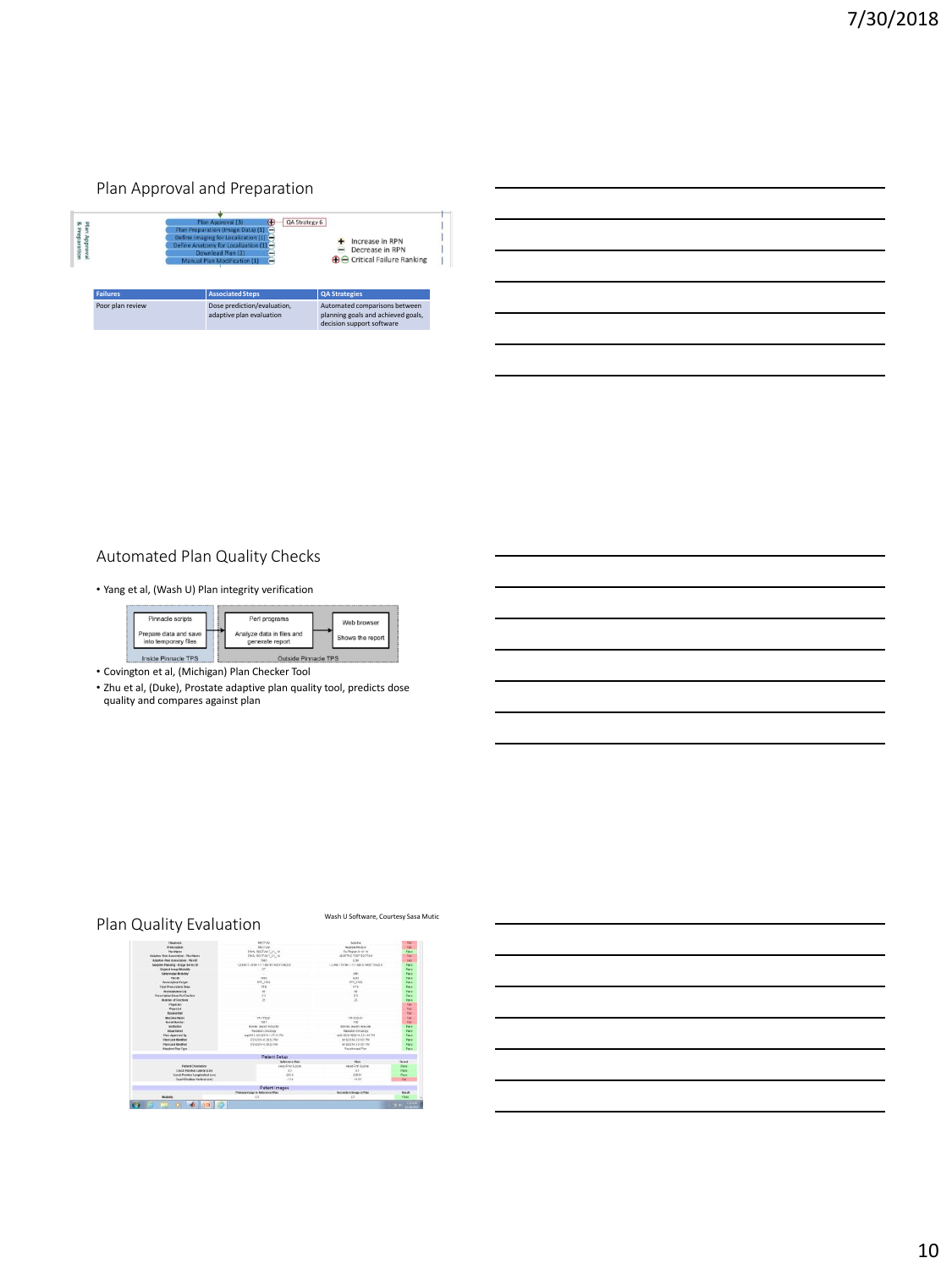#### Plan Approval and Preparation

| Plan Approva<br><b>&amp; Preparation</b> |                 | QA Strategy 6<br>Plan Approval (3)<br>Plan Preparation (Image Data) (1) -<br>Define Imaging for Localization (1) -<br>Define Anatomy for Localization (1) -<br>Download Plan (3)<br>Manual Plan Modification (1) | Increase in RPN<br>Decrease in RPN<br><b>⊕</b> Critical Failure Ranking                          |  |
|------------------------------------------|-----------------|------------------------------------------------------------------------------------------------------------------------------------------------------------------------------------------------------------------|--------------------------------------------------------------------------------------------------|--|
|                                          | <b>Failures</b> | <b>Associated Steps</b>                                                                                                                                                                                          | <b>OA Strategies</b>                                                                             |  |
| Poor plan review                         |                 | Dose prediction/evaluation,<br>adaptive plan evaluation                                                                                                                                                          | Automated comparisons between<br>planning goals and achieved goals,<br>decision support software |  |

# Automated Plan Quality Checks

• Yang et al, (Wash U) Plan integrity verification



• Covington et al, (Michigan) Plan Checker Tool

• Zhu et al, (Duke), Prostate adaptive plan quality tool, predicts dose quality and compares against plan

# Plan Quality Evaluation Wash U Software, Courtesy Sasa Mutic

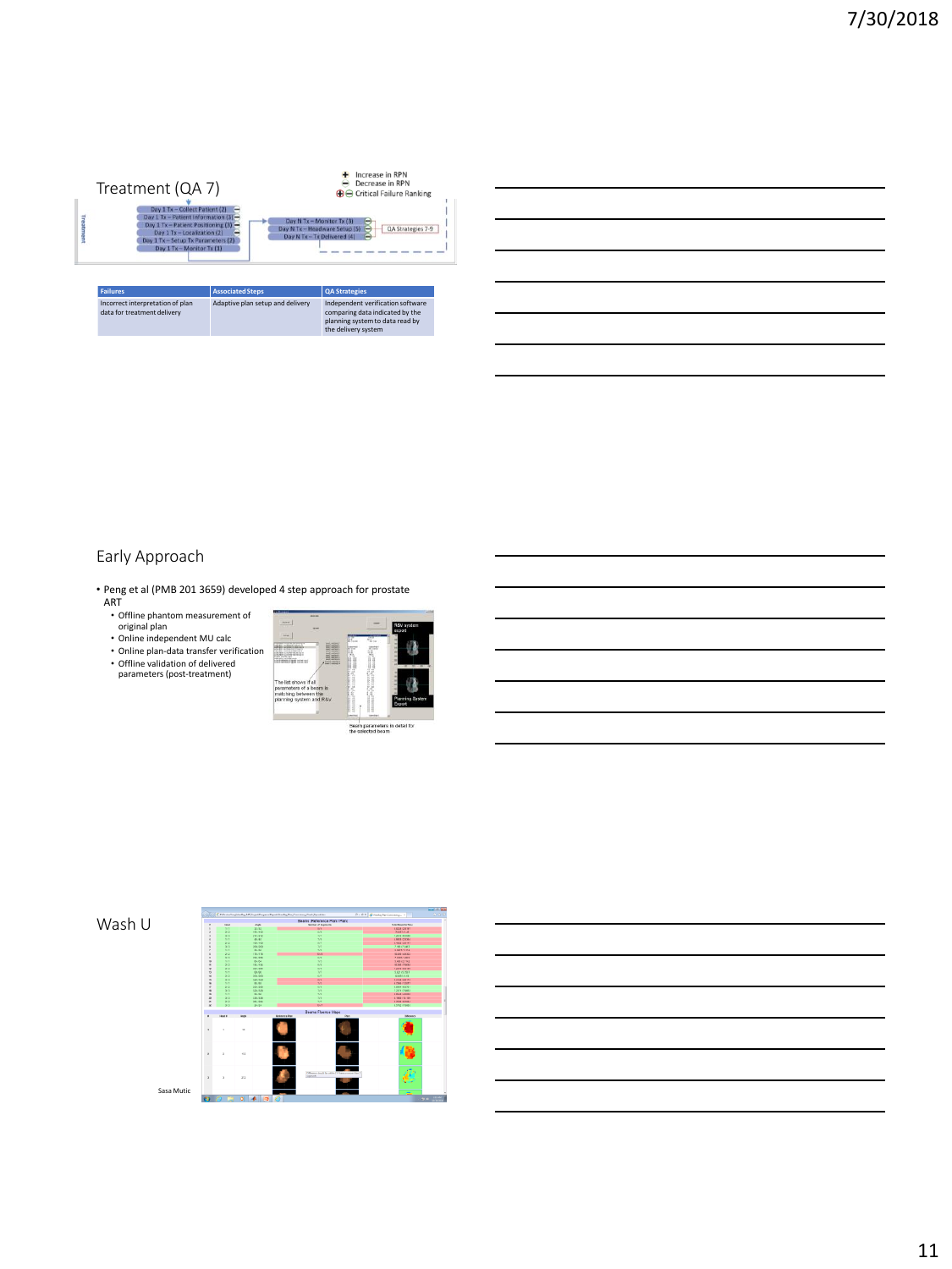

## Early Approach

- Peng et al (PMB 201 3659) developed 4 step approach for prostate ART
	- Offline phantom measurement of original plan
	- Online independent MU calc
	- Online plan-data transfer verification
	- Offline validation of delivered parameters (post-treatment)



### Wash U



11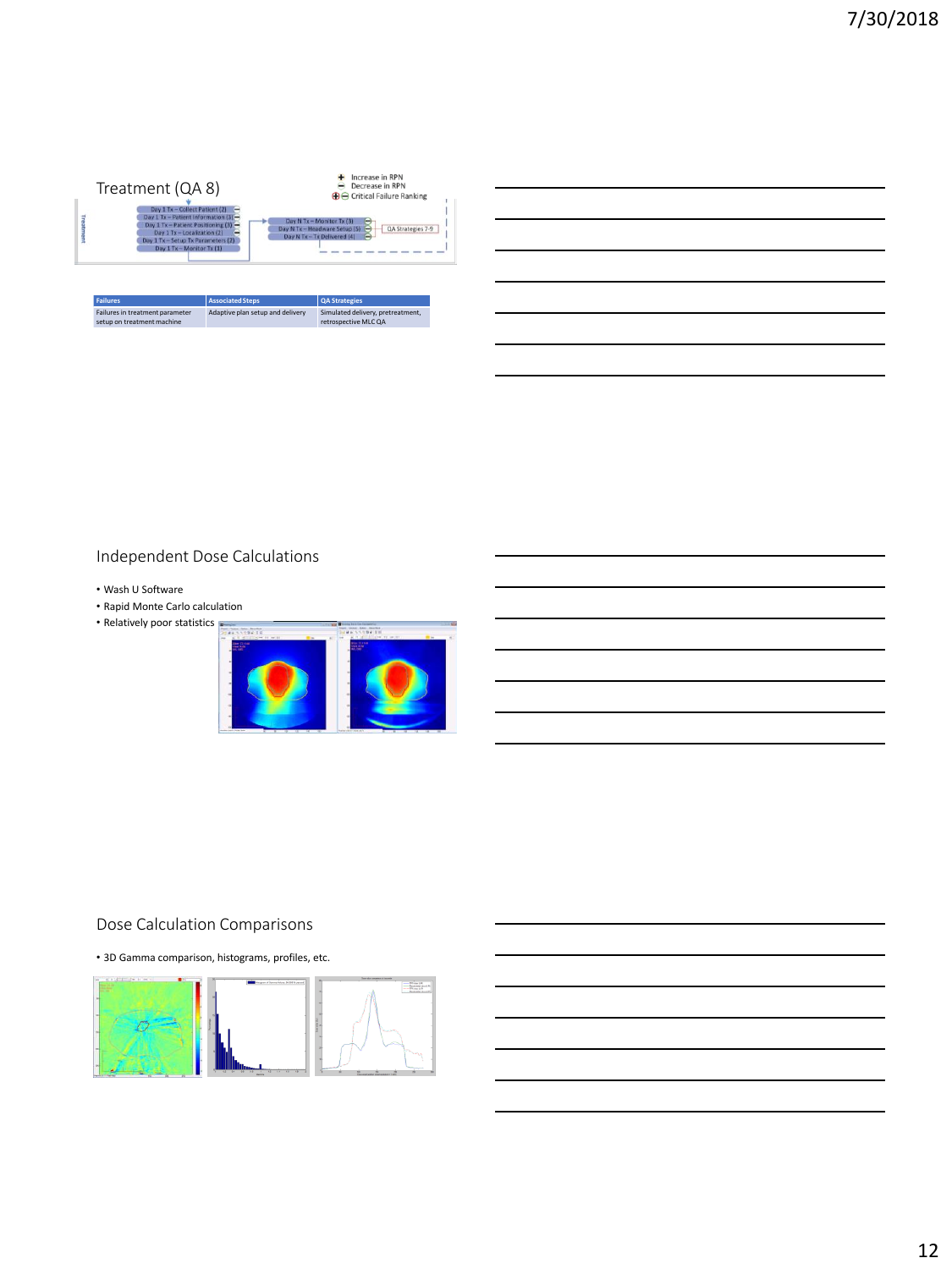

Adaptive plan setup and delivery Simulated delivery, pretreatment, retrospective MLC QA

| Independent Dose Calculations |  |
|-------------------------------|--|

• Wash U Software

Failures in treatment parameter setup on treatment machine

• Rapid Monte Carlo calculation

• Relatively poor statistics



## Dose Calculation Comparisons

• 3D Gamma comparison, histograms, profiles, etc.